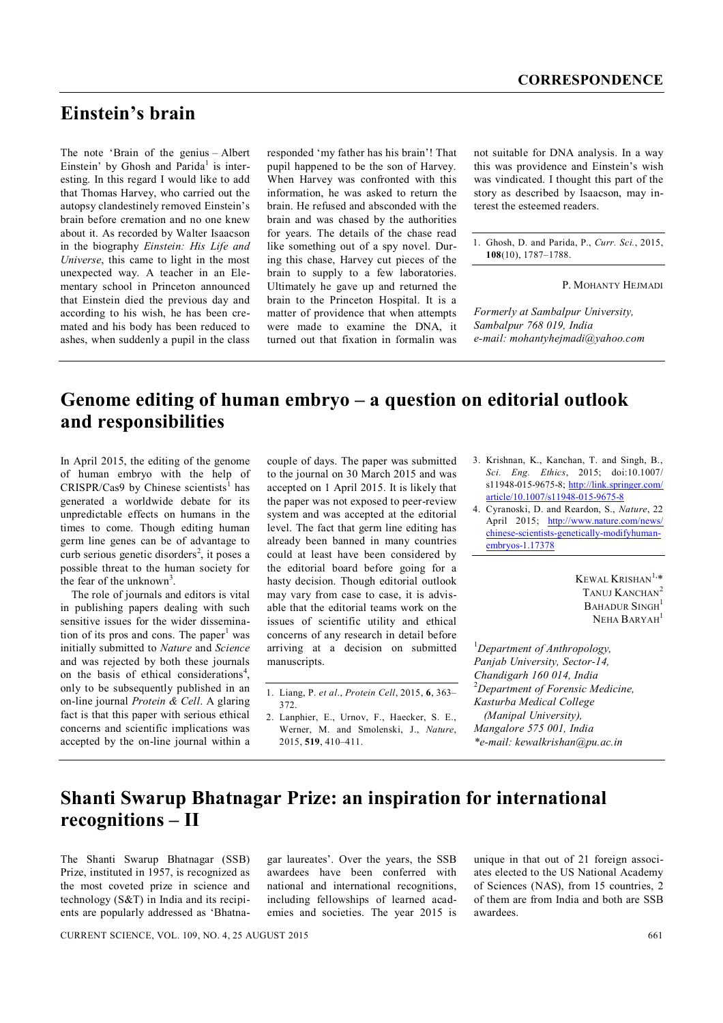## **Einstein's brain**

The note 'Brain of the genius – Albert Einstein' by Ghosh and Parida<sup>1</sup> is interesting. In this regard I would like to add that Thomas Harvey, who carried out the autopsy clandestinely removed Einstein's brain before cremation and no one knew about it. As recorded by Walter Isaacson in the biography *Einstein: His Life and Universe*, this came to light in the most unexpected way. A teacher in an Elementary school in Princeton announced that Einstein died the previous day and according to his wish, he has been cremated and his body has been reduced to ashes, when suddenly a pupil in the class

responded 'my father has his brain'! That pupil happened to be the son of Harvey. When Harvey was confronted with this information, he was asked to return the brain. He refused and absconded with the brain and was chased by the authorities for years. The details of the chase read like something out of a spy novel. During this chase, Harvey cut pieces of the brain to supply to a few laboratories. Ultimately he gave up and returned the brain to the Princeton Hospital. It is a matter of providence that when attempts were made to examine the DNA, it turned out that fixation in formalin was not suitable for DNA analysis. In a way this was providence and Einstein's wish was vindicated. I thought this part of the story as described by Isaacson, may interest the esteemed readers.

1. Ghosh, D. and Parida, P., *Curr. Sci.*, 2015, **108**(10), 1787–1788.

P. MOHANTY HEJMADI

*Formerly at Sambalpur University, Sambalpur 768 019, India e-mail: mohantyhejmadi@yahoo.com*

# **Genome editing of human embryo – a question on editorial outlook and responsibilities**

In April 2015, the editing of the genome of human embryo with the help of  $CRISPR/Cas9$  by Chinese scientists<sup>1</sup> has generated a worldwide debate for its unpredictable effects on humans in the times to come. Though editing human germ line genes can be of advantage to curb serious genetic disorders<sup>2</sup>, it poses a possible threat to the human society for the fear of the unknown<sup>3</sup>.

The role of journals and editors is vital in publishing papers dealing with such sensitive issues for the wider dissemination of its pros and cons. The paper<sup>1</sup> was initially submitted to *Nature* and *Science* and was rejected by both these journals on the basis of ethical considerations<sup>4</sup>, only to be subsequently published in an on-line journal *Protein & Cell*. A glaring fact is that this paper with serious ethical concerns and scientific implications was accepted by the on-line journal within a

couple of days. The paper was submitted to the journal on 30 March 2015 and was accepted on 1 April 2015. It is likely that the paper was not exposed to peer-review system and was accepted at the editorial level. The fact that germ line editing has already been banned in many countries could at least have been considered by the editorial board before going for a hasty decision. Though editorial outlook may vary from case to case, it is advisable that the editorial teams work on the issues of scientific utility and ethical concerns of any research in detail before arriving at a decision on submitted manuscripts.

2. Lanphier, E., Urnov, F., Haecker, S. E., Werner, M. and Smolenski, J., *Nature*, 2015, **519**, 410–411.

3. Krishnan, K., Kanchan, T. and Singh, B., *Sci. Eng. Ethics*, 2015; doi:10.1007/ s11948-015-9675-8; http://link.springer.com/ article/10.1007/s11948-015-9675-8

4. Cyranoski, D. and Reardon, S., *Nature*, 22 April 2015; http://www.nature.com/news/ chinese-scientists-genetically-modifyhumanembryos-1.17378

> Kewal Krishan $^{1,\ast}$ TANUJ KANCHAN<sup>2</sup> BAHADUR SINGH<sup>1</sup> NEHA BARYAH<sup>1</sup>

<sup>1</sup>*Department of Anthropology, Panjab University, Sector-14, Chandigarh 160 014, India* <sup>2</sup>*Department of Forensic Medicine, Kasturba Medical College (Manipal University), Mangalore 575 001, India \*e-mail: kewalkrishan@pu.ac.in*

## **Shanti Swarup Bhatnagar Prize: an inspiration for international recognitions – II**

The Shanti Swarup Bhatnagar (SSB) Prize, instituted in 1957, is recognized as the most coveted prize in science and technology (S&T) in India and its recipients are popularly addressed as 'Bhatna-

gar laureates'. Over the years, the SSB awardees have been conferred with national and international recognitions, including fellowships of learned academies and societies. The year 2015 is unique in that out of 21 foreign associates elected to the US National Academy of Sciences (NAS), from 15 countries, 2 of them are from India and both are SSB awardees.

CURRENT SCIENCE, VOL. 109, NO. 4, 25 AUGUST 2015 661

<sup>1.</sup> Liang, P. *et al*., *Protein Cell*, 2015, **6**, 363– 372.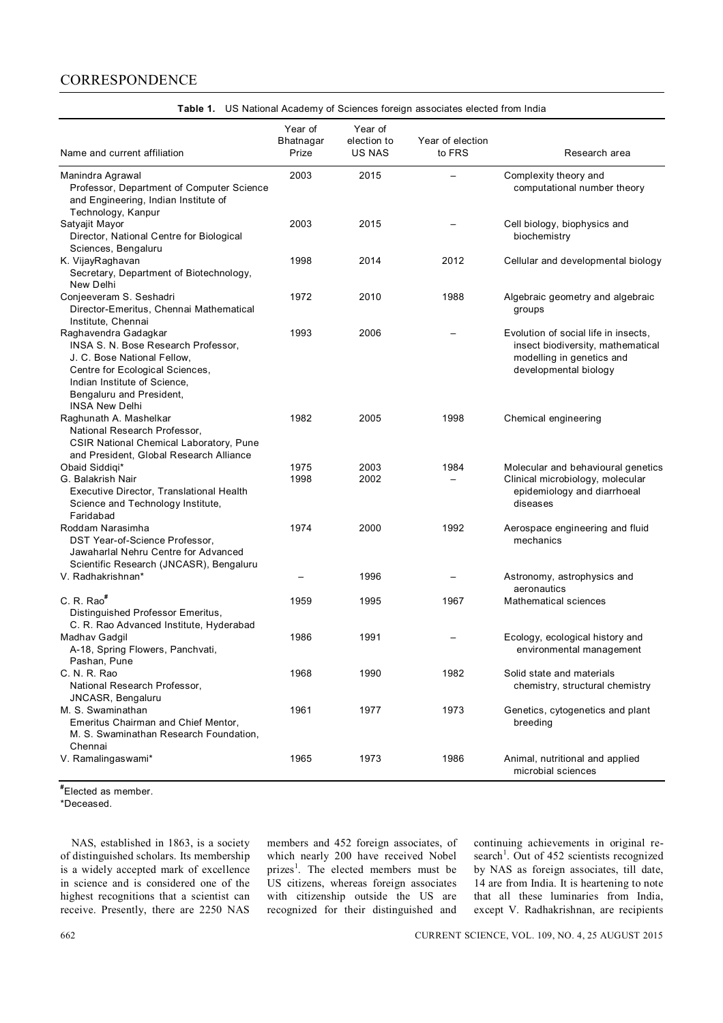#### **CORRESPONDENCE**

| Name and current affiliation                                  | Year of<br>Bhatnagar<br>Prize | Year of<br>election to<br><b>US NAS</b> | Year of election<br>to FRS | Research area                                         |
|---------------------------------------------------------------|-------------------------------|-----------------------------------------|----------------------------|-------------------------------------------------------|
| Manindra Agrawal<br>Professor, Department of Computer Science | 2003                          | 2015                                    | $\overline{\phantom{0}}$   | Complexity theory and<br>computational number theory  |
| and Engineering, Indian Institute of                          |                               |                                         |                            |                                                       |
| Technology, Kanpur                                            |                               |                                         |                            |                                                       |
| Satyajit Mayor                                                | 2003                          | 2015                                    |                            | Cell biology, biophysics and                          |
| Director, National Centre for Biological                      |                               |                                         |                            | biochemistry                                          |
| Sciences, Bengaluru                                           |                               |                                         |                            |                                                       |
| K. VijayRaghavan                                              | 1998                          | 2014                                    | 2012                       | Cellular and developmental biology                    |
| Secretary, Department of Biotechnology,                       |                               |                                         |                            |                                                       |
| New Delhi                                                     |                               |                                         |                            |                                                       |
| Conjeeveram S. Seshadri                                       | 1972                          | 2010                                    | 1988                       | Algebraic geometry and algebraic                      |
| Director-Emeritus, Chennai Mathematical                       |                               |                                         |                            | groups                                                |
| Institute, Chennai                                            |                               |                                         |                            |                                                       |
| Raghavendra Gadagkar                                          | 1993                          | 2006                                    |                            | Evolution of social life in insects,                  |
| INSA S. N. Bose Research Professor,                           |                               |                                         |                            | insect biodiversity, mathematical                     |
| J. C. Bose National Fellow,                                   |                               |                                         |                            | modelling in genetics and                             |
| Centre for Ecological Sciences,                               |                               |                                         |                            | developmental biology                                 |
| Indian Institute of Science,                                  |                               |                                         |                            |                                                       |
| Bengaluru and President,                                      |                               |                                         |                            |                                                       |
| <b>INSA New Delhi</b>                                         |                               |                                         |                            |                                                       |
| Raghunath A. Mashelkar                                        | 1982                          | 2005                                    | 1998                       | Chemical engineering                                  |
| National Research Professor,                                  |                               |                                         |                            |                                                       |
| <b>CSIR National Chemical Laboratory, Pune</b>                |                               |                                         |                            |                                                       |
| and President, Global Research Alliance                       |                               |                                         |                            |                                                       |
| Obaid Siddigi*                                                | 1975                          | 2003                                    | 1984                       | Molecular and behavioural genetics                    |
| G. Balakrish Nair                                             | 1998                          | 2002                                    |                            | Clinical microbiology, molecular                      |
| Executive Director, Translational Health                      |                               |                                         |                            | epidemiology and diarrhoeal                           |
| Science and Technology Institute,                             |                               |                                         |                            | diseases                                              |
| Faridabad                                                     |                               |                                         |                            |                                                       |
| Roddam Narasimha                                              | 1974                          | 2000                                    | 1992                       | Aerospace engineering and fluid                       |
| DST Year-of-Science Professor,                                |                               |                                         |                            | mechanics                                             |
| Jawaharlal Nehru Centre for Advanced                          |                               |                                         |                            |                                                       |
| Scientific Research (JNCASR), Bengaluru                       |                               |                                         |                            |                                                       |
| V. Radhakrishnan*                                             |                               | 1996                                    |                            | Astronomy, astrophysics and                           |
|                                                               |                               |                                         |                            | aeronautics                                           |
| C. R. Rao <sup>#</sup>                                        | 1959                          | 1995                                    | 1967                       | Mathematical sciences                                 |
| Distinguished Professor Emeritus,                             |                               |                                         |                            |                                                       |
| C. R. Rao Advanced Institute, Hyderabad                       |                               |                                         |                            |                                                       |
| Madhav Gadgil                                                 | 1986                          | 1991                                    |                            | Ecology, ecological history and                       |
| A-18, Spring Flowers, Panchvati,                              |                               |                                         |                            | environmental management                              |
| Pashan, Pune                                                  |                               |                                         |                            |                                                       |
| C. N. R. Rao                                                  | 1968                          | 1990                                    | 1982                       | Solid state and materials                             |
| National Research Professor,                                  |                               |                                         |                            | chemistry, structural chemistry                       |
| JNCASR, Bengaluru                                             |                               |                                         |                            |                                                       |
| M. S. Swaminathan                                             | 1961                          | 1977                                    | 1973                       | Genetics, cytogenetics and plant                      |
| Emeritus Chairman and Chief Mentor,                           |                               |                                         |                            | breeding                                              |
| M. S. Swaminathan Research Foundation,                        |                               |                                         |                            |                                                       |
| Chennai                                                       |                               |                                         |                            |                                                       |
| V. Ramalingaswami*                                            | 1965                          | 1973                                    | 1986                       | Animal, nutritional and applied<br>microbial sciences |

**Table 1.** US National Academy of Sciences foreign associates elected from India

**#** Elected as member.

\*Deceased.

NAS, established in 1863, is a society of distinguished scholars. Its membership is a widely accepted mark of excellence in science and is considered one of the highest recognitions that a scientist can receive. Presently, there are 2250 NAS members and 452 foreign associates, of which nearly 200 have received Nobel prizes<sup>1</sup>. The elected members must be US citizens, whereas foreign associates with citizenship outside the US are recognized for their distinguished and

continuing achievements in original research<sup>1</sup>. Out of 452 scientists recognized by NAS as foreign associates, till date, 14 are from India. It is heartening to note that all these luminaries from India, except V. Radhakrishnan, are recipients